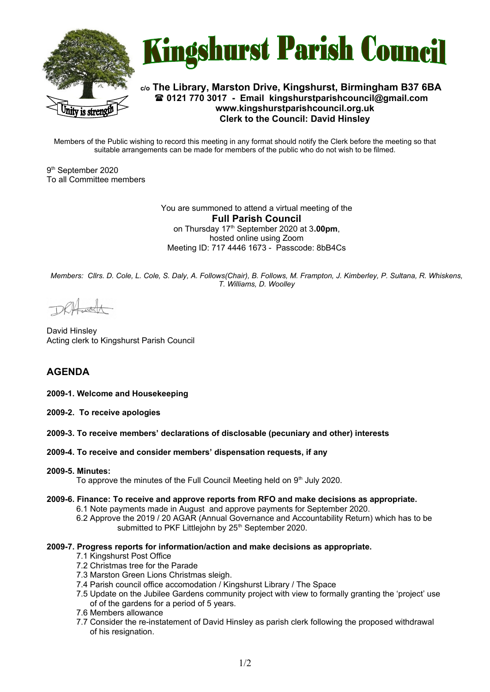



## **c/o The Library, Marston Drive, Kingshurst, Birmingham B37 6BA 0121 770 3017 - Email [kingshurstparishcouncil@gmail.com](mailto:kingshurstparishcouncil@gmail.com) www.kingshurstparishcouncil.org.uk Clerk to the Council: David Hinsley**

Members of the Public wishing to record this meeting in any format should notify the Clerk before the meeting so that suitable arrangements can be made for members of the public who do not wish to be filmed.

9 th September 2020 To all Committee members

> You are summoned to attend a virtual meeting of the **Full Parish Council**  on Thursday 17th September 2020 at 3**.00pm**, hosted online using Zoom Meeting ID: 717 4446 1673 - Passcode: 8bB4Cs

*Members: Cllrs. D. Cole, L. Cole, S. Daly, A. Follows(Chair), B. Follows, M. Frampton, J. Kimberley, P. Sultana, R. Whiskens, T. Williams, D. Woolley*

David Hinsley Acting clerk to Kingshurst Parish Council

# **AGENDA**

**2009-1. Welcome and Housekeeping**

- **2009-2. To receive apologies**
- **2009-3. To receive members' declarations of disclosable (pecuniary and other) interests**
- **2009-4. To receive and consider members' dispensation requests, if any**

#### **2009-5. Minutes:**

To approve the minutes of the Full Council Meeting held on  $9<sup>th</sup>$  July 2020.

- **2009-6. Finance: To receive and approve reports from RFO and make decisions as appropriate.**
	- 6.1 Note payments made in August and approve payments for September 2020.
	- 6.2 Approve the 2019 / 20 AGAR (Annual Governance and Accountability Return) which has to be submitted to PKF Littlejohn by 25<sup>th</sup> September 2020.

#### **2009-7. Progress reports for information/action and make decisions as appropriate.**

- 7.1 Kingshurst Post Office
- 7.2 Christmas tree for the Parade
- 7.3 Marston Green Lions Christmas sleigh.
- 7.4 Parish council office accomodation / Kingshurst Library / The Space
- 7.5 Update on the Jubilee Gardens community project with view to formally granting the 'project' use of of the gardens for a period of 5 years.
- 7.6 Members allowance
- 7.7 Consider the re-instatement of David Hinsley as parish clerk following the proposed withdrawal of his resignation.